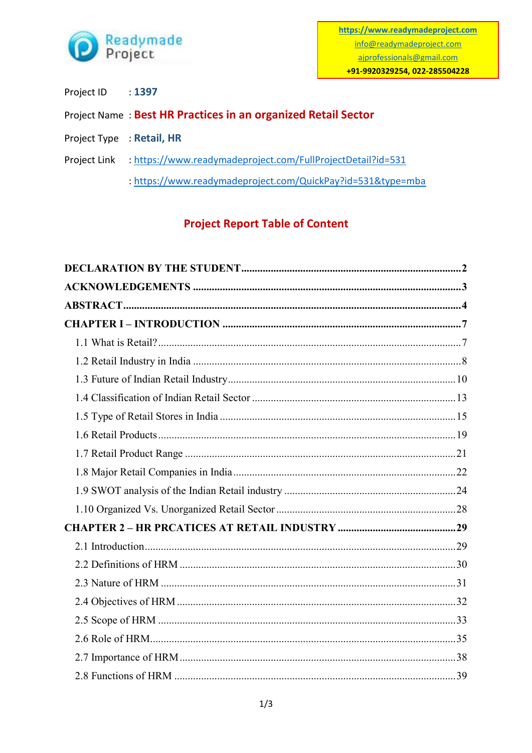

- Project ID  $: 1397$
- Project Name: Best HR Practices in an organized Retail Sector
- Project Type : Retail, HR
- Project Link : https://www.readymadeproject.com/FullProjectDetail?id=531
	- : https://www.readymadeproject.com/QuickPay?id=531&type=mba

## **Project Report Table of Content**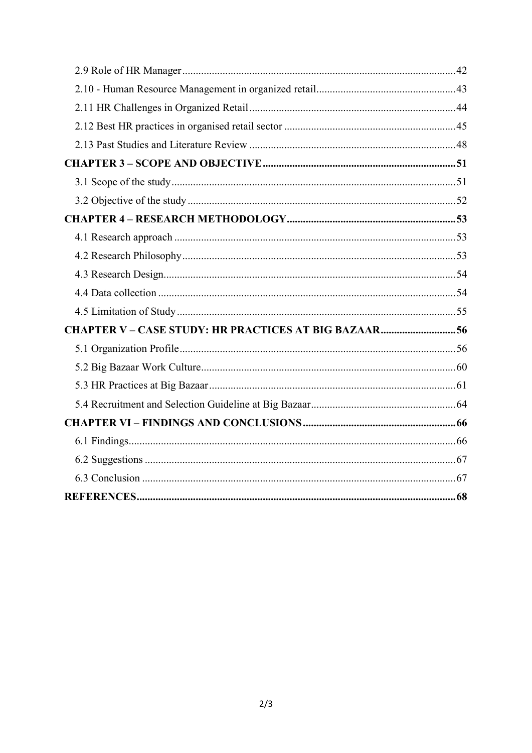| <b>CHAPTER V - CASE STUDY: HR PRACTICES AT BIG BAZAAR56</b> |  |
|-------------------------------------------------------------|--|
|                                                             |  |
|                                                             |  |
|                                                             |  |
|                                                             |  |
|                                                             |  |
|                                                             |  |
|                                                             |  |
|                                                             |  |
|                                                             |  |